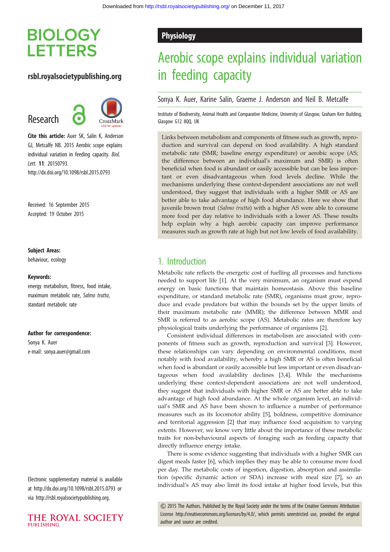## **BIOLOGY LETTERS**

### rsbl.royalsocietypublishing.org

Research



Cite this article: Auer SK, Salin K, Anderson GJ, Metcalfe NB. 2015 Aerobic scope explains individual variation in feeding capacity. Biol. Lett. 11: 20150793. http://dx.doi.org/10.1098/rsbl.2015.0793

Received: 16 September 2015 Accepted: 19 October 2015

#### Subject Areas:

behaviour, ecology

#### Keywords:

energy metabolism, fitness, food intake, maximum metabolic rate, Salmo trutta, standard metabolic rate

### Author for correspondence:

Sonya K. Auer e-mail: [sonya.auer@gmail.com](mailto:sonya.auer@gmail.com)

Electronic supplementary material is available at<http://dx.doi.org/10.1098/rsbl.2015.0793> or via<http://rsbl.royalsocietypublishing.org>.



### Physiology

# Aerobic scope explains individual variation in feeding capacity

Sonya K. Auer, Karine Salin, Graeme J. Anderson and Neil B. Metcalfe

Institute of Biodiversity, Animal Health and Comparative Medicine, University of Glasgow, Graham Kerr Building, Glasgow G12 8QQ, UK

Links between metabolism and components of fitness such as growth, reproduction and survival can depend on food availability. A high standard metabolic rate (SMR; baseline energy expenditure) or aerobic scope (AS; the difference between an individual's maximum and SMR) is often beneficial when food is abundant or easily accessible but can be less important or even disadvantageous when food levels decline. While the mechanisms underlying these context-dependent associations are not well understood, they suggest that individuals with a higher SMR or AS are better able to take advantage of high food abundance. Here we show that juvenile brown trout (Salmo trutta) with a higher AS were able to consume more food per day relative to individuals with a lower AS. These results help explain why a high aerobic capacity can improve performance measures such as growth rate at high but not low levels of food availability.

### 1. Introduction

Metabolic rate reflects the energetic cost of fuelling all processes and functions needed to support life [[1](#page-2-0)]. At the very minimum, an organism must expend energy on basic functions that maintain homeostasis. Above this baseline expenditure, or standard metabolic rate (SMR), organisms must grow, reproduce and evade predators but within the bounds set by the upper limits of their maximum metabolic rate (MMR); the difference between MMR and SMR is referred to as aerobic scope (AS). Metabolic rates are therefore key physiological traits underlying the performance of organisms [[2](#page-2-0)].

Consistent individual differences in metabolism are associated with components of fitness such as growth, reproduction and survival [[3](#page-2-0)]. However, these relationships can vary depending on environmental conditions, most notably with food availability, whereby a high SMR or AS is often beneficial when food is abundant or easily accessible but less important or even disadvantageous when food availability declines [[3](#page-2-0),[4](#page-2-0)]. While the mechanisms underlying these context-dependent associations are not well understood, they suggest that individuals with higher SMR or AS are better able to take advantage of high food abundance. At the whole organism level, an individual's SMR and AS have been shown to influence a number of performance measures such as its locomotor ability [[5](#page-2-0)], boldness, competitive dominance and territorial aggression [\[2\]](#page-2-0) that may influence food acquisition to varying extents. However, we know very little about the importance of these metabolic traits for non-behavioural aspects of foraging such as feeding capacity that directly influence energy intake.

There is some evidence suggesting that individuals with a higher SMR can digest meals faster [[6](#page-2-0)], which implies they may be able to consume more food per day. The metabolic costs of ingestion, digestion, absorption and assimilation (specific dynamic action or SDA) increase with meal size [\[7](#page-2-0)], so an individual's AS may also limit its food intake at higher food levels, but this

& 2015 The Authors. Published by the Royal Society under the terms of the Creative Commons Attribution License [http://creativecommons.org/licenses/by/4.0/, which permits unrestricted use, provided the original](http://creativecommons.org/licenses/by/4.0/) [author and source are credited.](http://creativecommons.org/licenses/by/4.0/)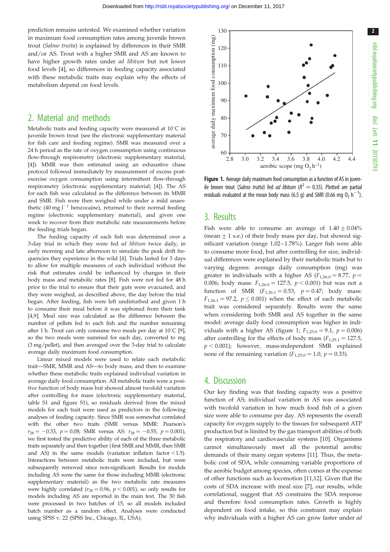130

120

prediction remains untested. We examined whether variation in maximum food consumption rates among juvenile brown trout (Salmo trutta) is explained by differences in their SMR and/or AS. Trout with a higher SMR and AS are known to have higher growth rates under ad libitum but not lower food levels [[4](#page-2-0)], so differences in feeding capacity associated with these metabolic traits may explain why the effects of metabolism depend on food levels.

## 2. Material and methods

Metabolic traits and feeding capacity were measured at  $10^{\circ}$ C in juvenile brown trout (see the electronic supplementary material for fish care and feeding regime). SMR was measured over a 24 h period as the rate of oxygen consumption using continuous flow-through respirometry (electronic supplementary material; [\[4](#page-2-0)]). MMR was then estimated using an exhaustive chase protocol followed immediately by measurement of excess postexercise oxygen consumption using intermittent flow-through respirometry (electronic supplementary material; [[4](#page-2-0)]). The AS for each fish was calculated as the difference between its MMR and SMR. Fish were then weighed while under a mild anaesthetic (40 mg  $l^{-1}$  benzocaine), returned to their normal feeding regime (electronic supplementary material), and given one week to recover from their metabolic rate measurements before the feeding trials began.

The feeding capacity of each fish was determined over a 3-day trial in which they were fed ad libitum twice daily, in early morning and late afternoon to simulate the peak drift frequencies they experience in the wild [\[4\]](#page-2-0). Trials lasted for 3 days to allow for multiple measures of each individual without the risk that estimates could be influenced by changes in their body mass and metabolic rates [\[8](#page-2-0)]. Fish were not fed for 48 h prior to the trial to ensure that their guts were evacuated, and they were weighed, as described above, the day before the trial began. After feeding, fish were left undisturbed and given 1 h to consume their meal before it was siphoned from their tank [\[4](#page-2-0),[9\]](#page-2-0). Meal size was calculated as the difference between the number of pellets fed to each fish and the number remaining after 1 h. Trout can only consume two meals per day at  $10^{\circ}$ C [[9\]](#page-2-0), so the two meals were summed for each day, converted to mg (3 mg/pellet), and then averaged over the 3-day trial to calculate average daily maximum food consumption.

Linear mixed models were used to relate each metabolic trait—SMR, MMR and AS—to body mass, and then to examine whether these metabolic traits explained individual variation in average daily food consumption. All metabolic traits were a positive function of body mass but showed almost twofold variation after controlling for mass (electronic supplementary material, table S1 and figure S1), so residuals derived from the mixed models for each trait were used as predictors in the following analyses of feeding capacity. Since SMR was somewhat correlated with the other two traits (SMR versus MMR: Pearson's  $r_{28} = -0.33$ ,  $p = 0.08$ ; SMR versus AS:  $r_{28} = -0.55$ ,  $p = 0.001$ ), we first tested the predictive ability of each of the three metabolic traits separately and then together (first SMR and MMR, then SMR and AS) in the same models (variation inflation factor  $<$ 1.5). Interactions between metabolic traits were included, but were subsequently removed since non-significant. Results for models including AS were the same for those including MMR (electronic supplementary material) as the two metabolic rate measures were highly correlated ( $r_{28} = 0.96$ ,  $p < 0.001$ ), so only results for models including AS are reported in the main text. The 30 fish were processed in two batches of 15, so all models included batch number as a random effect. Analyses were conducted using SPSS v. 22 (SPSS Inc., Chicago, IL, USA).

average daily maximum food consumption (mg) average daily maximum food consumption (mg) 110 100 90 80 70  $^{60}$  + 2.8 2.8 3.0 3.2 3.4 3.6 3.8 4.0 4.2 4.4 aerobic scope (mg  $O_2$  h<sup>-1</sup>)

Figure 1. Average daily maximum food consumption as a function of AS in juvenile brown trout (Salmo trutta) fed ad libitum ( $R^2 = 0.35$ ). Plotted are partial residuals evaluated at the mean body mass (6.5 g) and SMR (0.66 mg  $O_2$  h<sup>-1</sup>).

### 3. Results

Fish were able to consume an average of  $1.40 \pm 0.04\%$ (mean  $\pm$  1 s.e.) of their body mass per day, but showed significant variation (range 1.02 –1.78%). Larger fish were able to consume more food, but after controlling for size, individual differences were explained by their metabolic traits but to varying degrees: average daily consumption (mg) was greater in individuals with a higher AS ( $F_{1,26.0} = 8.77$ ,  $p =$ 0.006; body mass:  $F_{1,26.0} = 127.5$ ,  $p < 0.001$ ) but was not a function of SMR  $(F_{1,26.1} = 0.53, p = 0.47;$  body mass:  $F_{1,26.1} = 97.2$ ,  $p \le 0.001$ ) when the effect of each metabolic trait was considered separately. Results were the same when considering both SMR and AS together in the same model: average daily food consumption was higher in individuals with a higher AS (figure 1;  $F_{1,25.0} = 9.1$ ,  $p = 0.006$ ) after controlling for the effects of body mass  $(F_{1,25,1} = 127.5$ ,  $p < 0.001$ ); however, mass-independent SMR explained none of the remaining variation ( $F_{1,25.0} = 1.0$ ,  $p = 0.33$ ).

### 4. Discussion

Our key finding was that feeding capacity was a positive function of AS; individual variation in AS was associated with twofold variation in how much food fish of a given size were able to consume per day. AS represents the overall capacity for oxygen supply to the tissues for subsequent ATP production but is limited by the gas transport abilities of both the respiratory and cardiovascular systems [[10\]](#page-2-0). Organisms cannot simultaneously meet all the potential aerobic demands of their many organ systems [\[11](#page-2-0)]. Thus, the metabolic cost of SDA, while consuming variable proportions of the aerobic budget among species, often comes at the expense of other functions such as locomotion [[11,12\]](#page-2-0). Given that the costs of SDA increase with meal size [[7](#page-2-0)], our results, while correlational, suggest that AS constrains the SDA response and therefore food consumption rates. Growth is highly dependent on food intake, so this constraint may explain why individuals with a higher AS can grow faster under ad 2